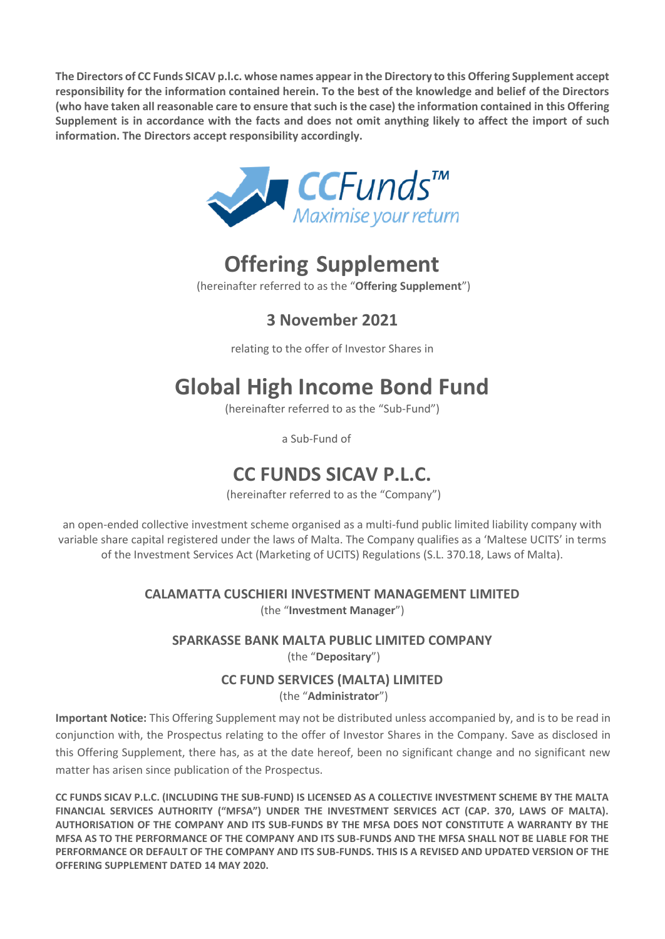**The Directors of CC Funds SICAV p.l.c. whose names appear in the Directory to this Offering Supplement accept responsibility for the information contained herein. To the best of the knowledge and belief of the Directors (who have taken all reasonable care to ensure that such is the case) the information contained in this Offering Supplement is in accordance with the facts and does not omit anything likely to affect the import of such information. The Directors accept responsibility accordingly.**



# **Offering Supplement**

(hereinafter referred to as the "**Offering Supplement**")

### **3 November 2021**

relating to the offer of Investor Shares in

# **Global High Income Bond Fund**

(hereinafter referred to as the "Sub-Fund")

a Sub-Fund of

# **CC FUNDS SICAV P.L.C.**

(hereinafter referred to as the "Company")

an open-ended collective investment scheme organised as a multi-fund public limited liability company with variable share capital registered under the laws of Malta. The Company qualifies as a 'Maltese UCITS' in terms of the Investment Services Act (Marketing of UCITS) Regulations (S.L. 370.18, Laws of Malta).

> **CALAMATTA CUSCHIERI INVESTMENT MANAGEMENT LIMITED**  (the "**Investment Manager**")

**SPARKASSE BANK MALTA PUBLIC LIMITED COMPANY** (the "**Depositary**")

#### **CC FUND SERVICES (MALTA) LIMITED**

(the "**Administrator**")

**Important Notice:** This Offering Supplement may not be distributed unless accompanied by, and is to be read in conjunction with, the Prospectus relating to the offer of Investor Shares in the Company. Save as disclosed in this Offering Supplement, there has, as at the date hereof, been no significant change and no significant new matter has arisen since publication of the Prospectus.

<span id="page-0-0"></span>**CC FUNDS SICAV P.L.C. (INCLUDING THE SUB-FUND) IS LICENSED AS A COLLECTIVE INVESTMENT SCHEME BY THE MALTA FINANCIAL SERVICES AUTHORITY ("MFSA") UNDER THE INVESTMENT SERVICES ACT (CAP. 370, LAWS OF MALTA). AUTHORISATION OF THE COMPANY AND ITS SUB-FUNDS BY THE MFSA DOES NOT CONSTITUTE A WARRANTY BY THE MFSA AS TO THE PERFORMANCE OF THE COMPANY AND ITS SUB-FUNDS AND THE MFSA SHALL NOT BE LIABLE FOR THE PERFORMANCE OR DEFAULT OF THE COMPANY AND ITS SUB-FUNDS. THIS IS A REVISED AND UPDATED VERSION OF THE OFFERING SUPPLEMENT DATED 14 MAY 2020.**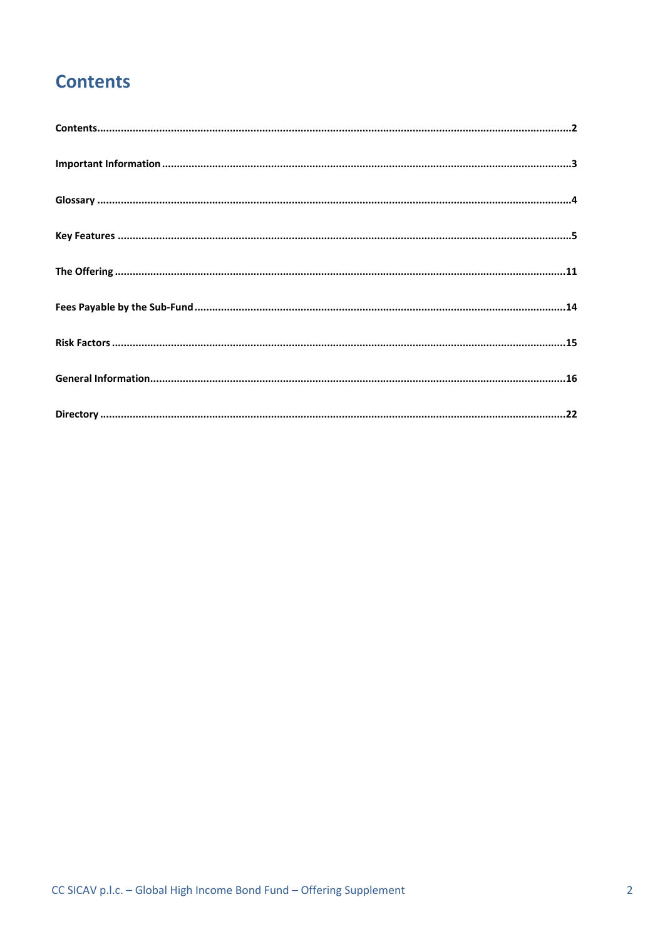# **Contents**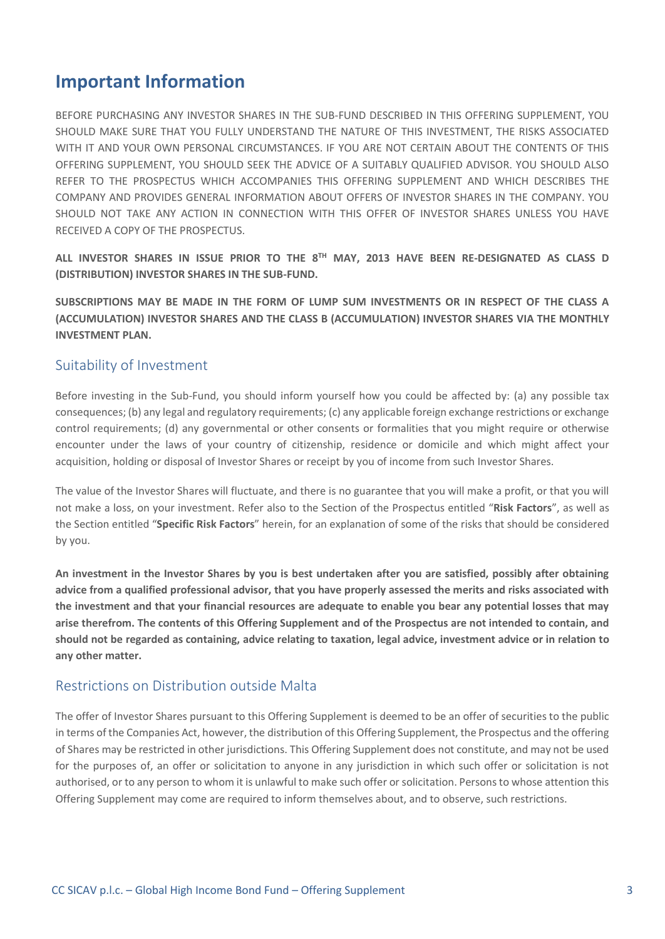### <span id="page-2-0"></span>**Important Information**

BEFORE PURCHASING ANY INVESTOR SHARES IN THE SUB-FUND DESCRIBED IN THIS OFFERING SUPPLEMENT, YOU SHOULD MAKE SURE THAT YOU FULLY UNDERSTAND THE NATURE OF THIS INVESTMENT, THE RISKS ASSOCIATED WITH IT AND YOUR OWN PERSONAL CIRCUMSTANCES. IF YOU ARE NOT CERTAIN ABOUT THE CONTENTS OF THIS OFFERING SUPPLEMENT, YOU SHOULD SEEK THE ADVICE OF A SUITABLY QUALIFIED ADVISOR. YOU SHOULD ALSO REFER TO THE PROSPECTUS WHICH ACCOMPANIES THIS OFFERING SUPPLEMENT AND WHICH DESCRIBES THE COMPANY AND PROVIDES GENERAL INFORMATION ABOUT OFFERS OF INVESTOR SHARES IN THE COMPANY. YOU SHOULD NOT TAKE ANY ACTION IN CONNECTION WITH THIS OFFER OF INVESTOR SHARES UNLESS YOU HAVE RECEIVED A COPY OF THE PROSPECTUS.

**ALL INVESTOR SHARES IN ISSUE PRIOR TO THE 8 TH MAY, 2013 HAVE BEEN RE-DESIGNATED AS CLASS D (DISTRIBUTION) INVESTOR SHARES IN THE SUB-FUND.**

**SUBSCRIPTIONS MAY BE MADE IN THE FORM OF LUMP SUM INVESTMENTS OR IN RESPECT OF THE CLASS A (ACCUMULATION) INVESTOR SHARES AND THE CLASS B (ACCUMULATION) INVESTOR SHARES VIA THE MONTHLY INVESTMENT PLAN.** 

#### Suitability of Investment

Before investing in the Sub-Fund, you should inform yourself how you could be affected by: (a) any possible tax consequences; (b) any legal and regulatory requirements; (c) any applicable foreign exchange restrictions or exchange control requirements; (d) any governmental or other consents or formalities that you might require or otherwise encounter under the laws of your country of citizenship, residence or domicile and which might affect your acquisition, holding or disposal of Investor Shares or receipt by you of income from such Investor Shares.

The value of the Investor Shares will fluctuate, and there is no guarantee that you will make a profit, or that you will not make a loss, on your investment. Refer also to the Section of the Prospectus entitled "**Risk Factors**", as well as the Section entitled "**Specific Risk Factors**" herein, for an explanation of some of the risks that should be considered by you.

**An investment in the Investor Shares by you is best undertaken after you are satisfied, possibly after obtaining advice from a qualified professional advisor, that you have properly assessed the merits and risks associated with the investment and that your financial resources are adequate to enable you bear any potential losses that may arise therefrom. The contents of this Offering Supplement and of the Prospectus are not intended to contain, and should not be regarded as containing, advice relating to taxation, legal advice, investment advice or in relation to any other matter.**

#### Restrictions on Distribution outside Malta

The offer of Investor Shares pursuant to this Offering Supplement is deemed to be an offer of securities to the public in terms of the Companies Act, however, the distribution of this Offering Supplement, the Prospectus and the offering of Shares may be restricted in other jurisdictions. This Offering Supplement does not constitute, and may not be used for the purposes of, an offer or solicitation to anyone in any jurisdiction in which such offer or solicitation is not authorised, or to any person to whom it is unlawful to make such offer or solicitation. Persons to whose attention this Offering Supplement may come are required to inform themselves about, and to observe, such restrictions.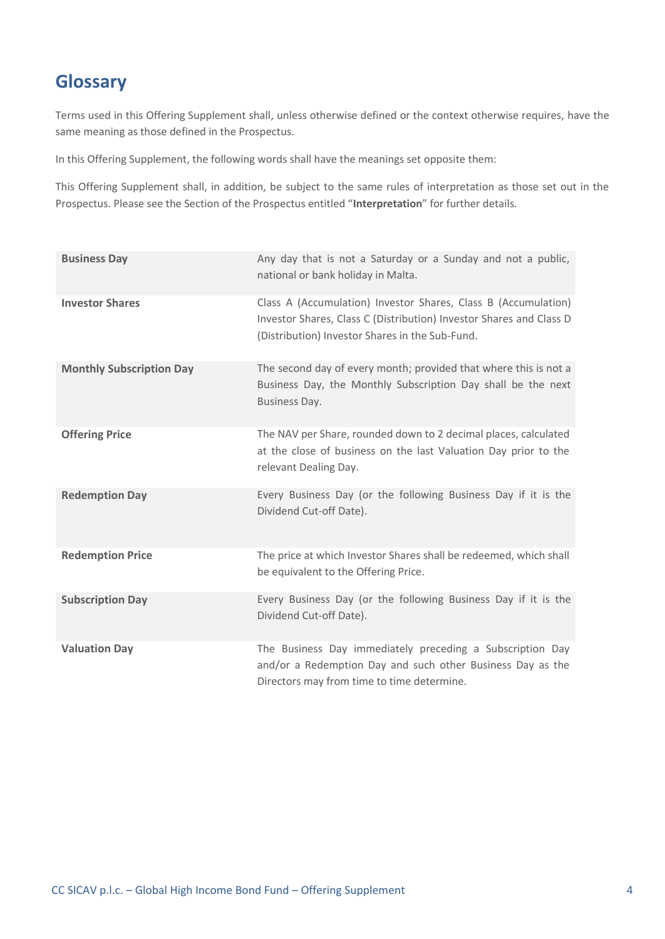### <span id="page-3-0"></span>**Glossary**

Terms used in this Offering Supplement shall, unless otherwise defined or the context otherwise requires, have the same meaning as those defined in the Prospectus.

In this Offering Supplement, the following words shall have the meanings set opposite them:

This Offering Supplement shall, in addition, be subject to the same rules of interpretation as those set out in the Prospectus. Please see the Section of the Prospectus entitled "**Interpretation**" for further details.

| <b>Business Day</b>             | Any day that is not a Saturday or a Sunday and not a public,<br>national or bank holiday in Malta.                                                                                       |
|---------------------------------|------------------------------------------------------------------------------------------------------------------------------------------------------------------------------------------|
| <b>Investor Shares</b>          | Class A (Accumulation) Investor Shares, Class B (Accumulation)<br>Investor Shares, Class C (Distribution) Investor Shares and Class D<br>(Distribution) Investor Shares in the Sub-Fund. |
| <b>Monthly Subscription Day</b> | The second day of every month; provided that where this is not a<br>Business Day, the Monthly Subscription Day shall be the next<br><b>Business Day.</b>                                 |
| <b>Offering Price</b>           | The NAV per Share, rounded down to 2 decimal places, calculated<br>at the close of business on the last Valuation Day prior to the<br>relevant Dealing Day.                              |
| <b>Redemption Day</b>           | Every Business Day (or the following Business Day if it is the<br>Dividend Cut-off Date).                                                                                                |
| <b>Redemption Price</b>         | The price at which Investor Shares shall be redeemed, which shall<br>be equivalent to the Offering Price.                                                                                |
| <b>Subscription Day</b>         | Every Business Day (or the following Business Day if it is the<br>Dividend Cut-off Date).                                                                                                |
| <b>Valuation Day</b>            | The Business Day immediately preceding a Subscription Day<br>and/or a Redemption Day and such other Business Day as the<br>Directors may from time to time determine.                    |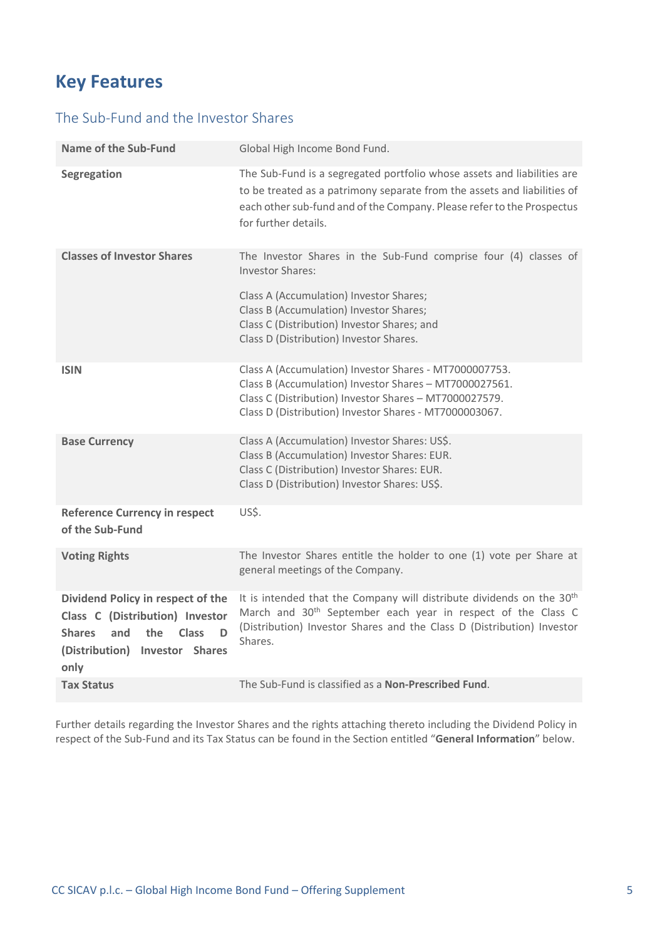## <span id="page-4-0"></span>**Key Features**

#### The Sub-Fund and the Investor Shares

| <b>Name of the Sub-Fund</b>                                                                                                                                                  | Global High Income Bond Fund.                                                                                                                                                                                                                                               |
|------------------------------------------------------------------------------------------------------------------------------------------------------------------------------|-----------------------------------------------------------------------------------------------------------------------------------------------------------------------------------------------------------------------------------------------------------------------------|
| <b>Segregation</b>                                                                                                                                                           | The Sub-Fund is a segregated portfolio whose assets and liabilities are<br>to be treated as a patrimony separate from the assets and liabilities of<br>each other sub-fund and of the Company. Please refer to the Prospectus<br>for further details.                       |
| <b>Classes of Investor Shares</b>                                                                                                                                            | The Investor Shares in the Sub-Fund comprise four (4) classes of<br><b>Investor Shares:</b><br>Class A (Accumulation) Investor Shares;<br>Class B (Accumulation) Investor Shares;<br>Class C (Distribution) Investor Shares; and<br>Class D (Distribution) Investor Shares. |
| <b>ISIN</b>                                                                                                                                                                  | Class A (Accumulation) Investor Shares - MT7000007753.<br>Class B (Accumulation) Investor Shares - MT7000027561.<br>Class C (Distribution) Investor Shares - MT7000027579.<br>Class D (Distribution) Investor Shares - MT7000003067.                                        |
| <b>Base Currency</b>                                                                                                                                                         | Class A (Accumulation) Investor Shares: US\$.<br>Class B (Accumulation) Investor Shares: EUR.<br>Class C (Distribution) Investor Shares: EUR.<br>Class D (Distribution) Investor Shares: US\$.                                                                              |
| <b>Reference Currency in respect</b><br>of the Sub-Fund                                                                                                                      | US\$.                                                                                                                                                                                                                                                                       |
| <b>Voting Rights</b>                                                                                                                                                         | The Investor Shares entitle the holder to one (1) vote per Share at<br>general meetings of the Company.                                                                                                                                                                     |
| Dividend Policy in respect of the<br>Class C (Distribution) Investor<br><b>Shares</b><br>and<br>the<br><b>Class</b><br>D<br>(Distribution)<br><b>Investor Shares</b><br>only | It is intended that the Company will distribute dividends on the 30 <sup>th</sup><br>March and 30 <sup>th</sup> September each year in respect of the Class C<br>(Distribution) Investor Shares and the Class D (Distribution) Investor<br>Shares.                          |
| <b>Tax Status</b>                                                                                                                                                            | The Sub-Fund is classified as a <b>Non-Prescribed Fund</b> .                                                                                                                                                                                                                |

Further details regarding the Investor Shares and the rights attaching thereto including the Dividend Policy in respect of the Sub-Fund and its Tax Status can be found in the Section entitled "**General Information**" below.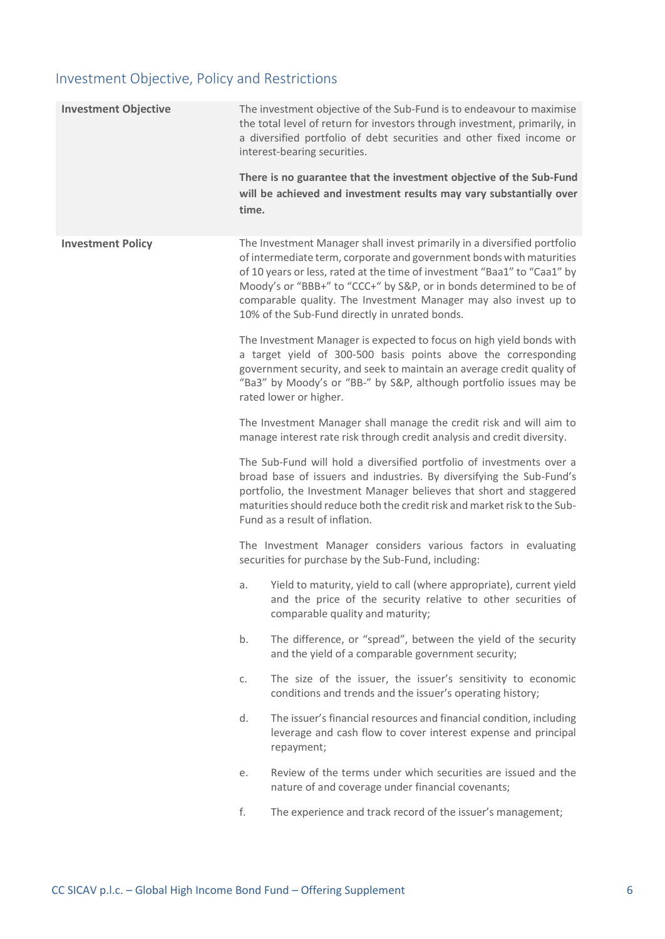### Investment Objective, Policy and Restrictions

| <b>Investment Objective</b> | time. | The investment objective of the Sub-Fund is to endeavour to maximise<br>the total level of return for investors through investment, primarily, in<br>a diversified portfolio of debt securities and other fixed income or<br>interest-bearing securities.<br>There is no guarantee that the investment objective of the Sub-Fund<br>will be achieved and investment results may vary substantially over                   |
|-----------------------------|-------|---------------------------------------------------------------------------------------------------------------------------------------------------------------------------------------------------------------------------------------------------------------------------------------------------------------------------------------------------------------------------------------------------------------------------|
| <b>Investment Policy</b>    |       | The Investment Manager shall invest primarily in a diversified portfolio<br>of intermediate term, corporate and government bonds with maturities<br>of 10 years or less, rated at the time of investment "Baa1" to "Caa1" by<br>Moody's or "BBB+" to "CCC+" by S&P, or in bonds determined to be of<br>comparable quality. The Investment Manager may also invest up to<br>10% of the Sub-Fund directly in unrated bonds. |
|                             |       | The Investment Manager is expected to focus on high yield bonds with<br>a target yield of 300-500 basis points above the corresponding<br>government security, and seek to maintain an average credit quality of<br>"Ba3" by Moody's or "BB-" by S&P, although portfolio issues may be<br>rated lower or higher.                                                                                                          |
|                             |       | The Investment Manager shall manage the credit risk and will aim to<br>manage interest rate risk through credit analysis and credit diversity.                                                                                                                                                                                                                                                                            |
|                             |       | The Sub-Fund will hold a diversified portfolio of investments over a<br>broad base of issuers and industries. By diversifying the Sub-Fund's<br>portfolio, the Investment Manager believes that short and staggered<br>maturities should reduce both the credit risk and market risk to the Sub-<br>Fund as a result of inflation.                                                                                        |
|                             |       | The Investment Manager considers various factors in evaluating<br>securities for purchase by the Sub-Fund, including:                                                                                                                                                                                                                                                                                                     |
|                             | a.    | Yield to maturity, yield to call (where appropriate), current yield<br>and the price of the security relative to other securities of<br>comparable quality and maturity;                                                                                                                                                                                                                                                  |
|                             | b.    | The difference, or "spread", between the yield of the security<br>and the yield of a comparable government security;                                                                                                                                                                                                                                                                                                      |
|                             | C.    | The size of the issuer, the issuer's sensitivity to economic<br>conditions and trends and the issuer's operating history;                                                                                                                                                                                                                                                                                                 |
|                             | d.    | The issuer's financial resources and financial condition, including<br>leverage and cash flow to cover interest expense and principal<br>repayment;                                                                                                                                                                                                                                                                       |
|                             | е.    | Review of the terms under which securities are issued and the<br>nature of and coverage under financial covenants;                                                                                                                                                                                                                                                                                                        |
|                             | f.    | The experience and track record of the issuer's management;                                                                                                                                                                                                                                                                                                                                                               |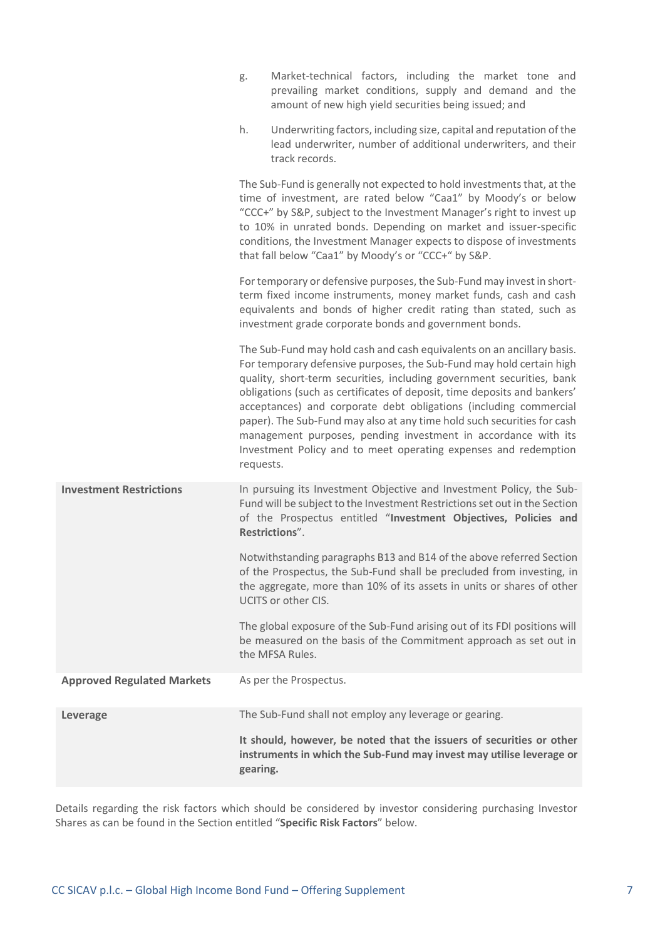|                                   | Market-technical factors, including the market tone and<br>g.<br>prevailing market conditions, supply and demand and the<br>amount of new high yield securities being issued; and                                                                                                                                                                                                                                                                                                                                                                                                                     |
|-----------------------------------|-------------------------------------------------------------------------------------------------------------------------------------------------------------------------------------------------------------------------------------------------------------------------------------------------------------------------------------------------------------------------------------------------------------------------------------------------------------------------------------------------------------------------------------------------------------------------------------------------------|
|                                   | Underwriting factors, including size, capital and reputation of the<br>h.<br>lead underwriter, number of additional underwriters, and their<br>track records.                                                                                                                                                                                                                                                                                                                                                                                                                                         |
|                                   | The Sub-Fund is generally not expected to hold investments that, at the<br>time of investment, are rated below "Caa1" by Moody's or below<br>"CCC+" by S&P, subject to the Investment Manager's right to invest up<br>to 10% in unrated bonds. Depending on market and issuer-specific<br>conditions, the Investment Manager expects to dispose of investments<br>that fall below "Caa1" by Moody's or "CCC+" by S&P.                                                                                                                                                                                 |
|                                   | For temporary or defensive purposes, the Sub-Fund may invest in short-<br>term fixed income instruments, money market funds, cash and cash<br>equivalents and bonds of higher credit rating than stated, such as<br>investment grade corporate bonds and government bonds.                                                                                                                                                                                                                                                                                                                            |
|                                   | The Sub-Fund may hold cash and cash equivalents on an ancillary basis.<br>For temporary defensive purposes, the Sub-Fund may hold certain high<br>quality, short-term securities, including government securities, bank<br>obligations (such as certificates of deposit, time deposits and bankers'<br>acceptances) and corporate debt obligations (including commercial<br>paper). The Sub-Fund may also at any time hold such securities for cash<br>management purposes, pending investment in accordance with its<br>Investment Policy and to meet operating expenses and redemption<br>requests. |
| <b>Investment Restrictions</b>    | In pursuing its Investment Objective and Investment Policy, the Sub-<br>Fund will be subject to the Investment Restrictions set out in the Section<br>of the Prospectus entitled "Investment Objectives, Policies and<br>Restrictions".                                                                                                                                                                                                                                                                                                                                                               |
|                                   | Notwithstanding paragraphs B13 and B14 of the above referred Section<br>of the Prospectus, the Sub-Fund shall be precluded from investing, in<br>the aggregate, more than 10% of its assets in units or shares of other<br>UCITS or other CIS.                                                                                                                                                                                                                                                                                                                                                        |
|                                   | The global exposure of the Sub-Fund arising out of its FDI positions will<br>be measured on the basis of the Commitment approach as set out in<br>the MFSA Rules.                                                                                                                                                                                                                                                                                                                                                                                                                                     |
| <b>Approved Regulated Markets</b> | As per the Prospectus.                                                                                                                                                                                                                                                                                                                                                                                                                                                                                                                                                                                |
| <b>Leverage</b>                   | The Sub-Fund shall not employ any leverage or gearing.                                                                                                                                                                                                                                                                                                                                                                                                                                                                                                                                                |
|                                   | It should, however, be noted that the issuers of securities or other<br>instruments in which the Sub-Fund may invest may utilise leverage or<br>gearing.                                                                                                                                                                                                                                                                                                                                                                                                                                              |

Details regarding the risk factors which should be considered by investor considering purchasing Investor Shares as can be found in the Section entitled "**Specific Risk Factors**" below.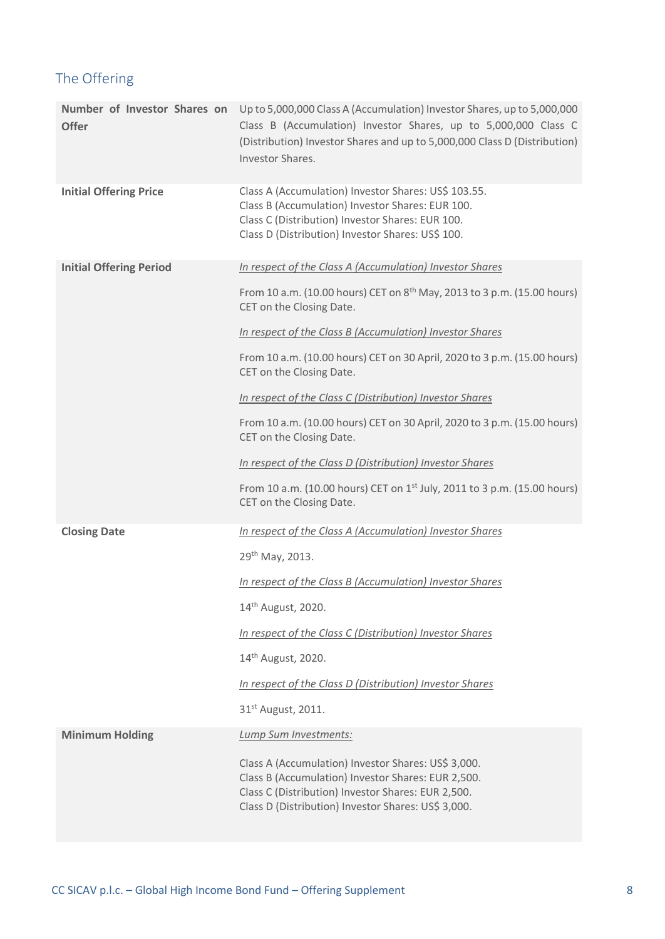### The Offering

| <b>Offer</b>                   | Number of Investor Shares on Up to 5,000,000 Class A (Accumulation) Investor Shares, up to 5,000,000<br>Class B (Accumulation) Investor Shares, up to 5,000,000 Class C<br>(Distribution) Investor Shares and up to 5,000,000 Class D (Distribution)<br>Investor Shares.                                                                                                          |
|--------------------------------|-----------------------------------------------------------------------------------------------------------------------------------------------------------------------------------------------------------------------------------------------------------------------------------------------------------------------------------------------------------------------------------|
| <b>Initial Offering Price</b>  | Class A (Accumulation) Investor Shares: US\$ 103.55.<br>Class B (Accumulation) Investor Shares: EUR 100.<br>Class C (Distribution) Investor Shares: EUR 100.<br>Class D (Distribution) Investor Shares: US\$ 100.                                                                                                                                                                 |
| <b>Initial Offering Period</b> | In respect of the Class A (Accumulation) Investor Shares<br>From 10 a.m. (10.00 hours) CET on 8 <sup>th</sup> May, 2013 to 3 p.m. (15.00 hours)<br>CET on the Closing Date.<br>In respect of the Class B (Accumulation) Investor Shares                                                                                                                                           |
|                                | From 10 a.m. (10.00 hours) CET on 30 April, 2020 to 3 p.m. (15.00 hours)<br>CET on the Closing Date.                                                                                                                                                                                                                                                                              |
|                                | In respect of the Class C (Distribution) Investor Shares<br>From 10 a.m. (10.00 hours) CET on 30 April, 2020 to 3 p.m. (15.00 hours)<br>CET on the Closing Date.                                                                                                                                                                                                                  |
|                                | In respect of the Class D (Distribution) Investor Shares<br>From 10 a.m. (10.00 hours) CET on 1 <sup>st</sup> July, 2011 to 3 p.m. (15.00 hours)<br>CET on the Closing Date.                                                                                                                                                                                                      |
| <b>Closing Date</b>            | In respect of the Class A (Accumulation) Investor Shares<br>29 <sup>th</sup> May, 2013.<br>In respect of the Class B (Accumulation) Investor Shares<br>14 <sup>th</sup> August, 2020.<br>In respect of the Class C (Distribution) Investor Shares<br>14 <sup>th</sup> August, 2020.<br>In respect of the Class D (Distribution) Investor Shares<br>31 <sup>st</sup> August, 2011. |
| <b>Minimum Holding</b>         | Lump Sum Investments:<br>Class A (Accumulation) Investor Shares: US\$ 3,000.<br>Class B (Accumulation) Investor Shares: EUR 2,500.<br>Class C (Distribution) Investor Shares: EUR 2,500.<br>Class D (Distribution) Investor Shares: US\$ 3,000.                                                                                                                                   |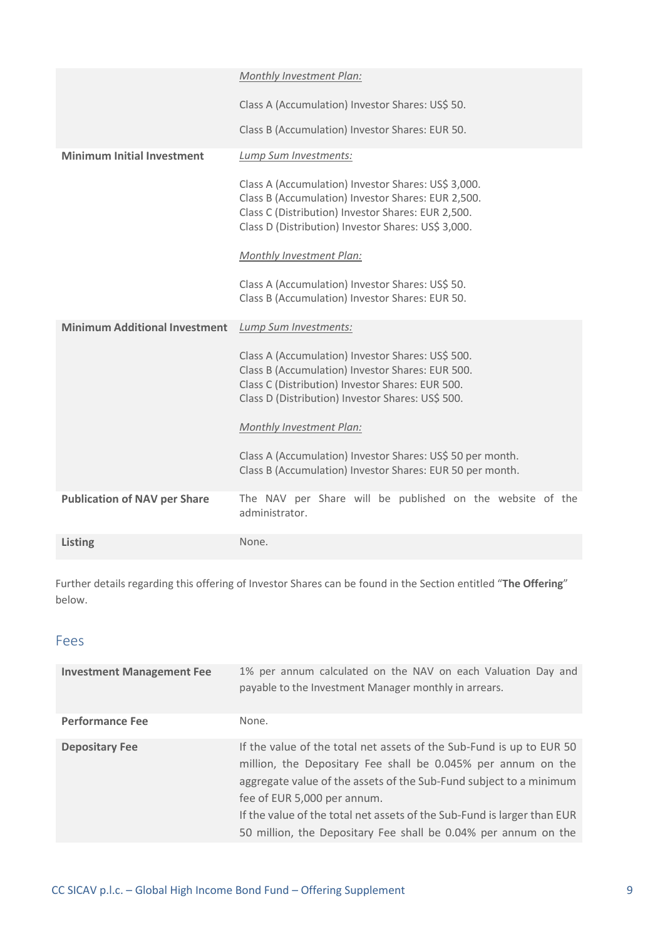|                                      | Monthly Investment Plan:                                                                                                                                                                                                                           |
|--------------------------------------|----------------------------------------------------------------------------------------------------------------------------------------------------------------------------------------------------------------------------------------------------|
|                                      | Class A (Accumulation) Investor Shares: US\$ 50.                                                                                                                                                                                                   |
|                                      | Class B (Accumulation) Investor Shares: EUR 50.                                                                                                                                                                                                    |
| <b>Minimum Initial Investment</b>    | Lump Sum Investments:                                                                                                                                                                                                                              |
|                                      | Class A (Accumulation) Investor Shares: US\$ 3,000.<br>Class B (Accumulation) Investor Shares: EUR 2,500.<br>Class C (Distribution) Investor Shares: EUR 2,500.<br>Class D (Distribution) Investor Shares: US\$ 3,000.<br>Monthly Investment Plan: |
|                                      | Class A (Accumulation) Investor Shares: US\$ 50.<br>Class B (Accumulation) Investor Shares: EUR 50.                                                                                                                                                |
| <b>Minimum Additional Investment</b> | Lump Sum Investments:                                                                                                                                                                                                                              |
|                                      | Class A (Accumulation) Investor Shares: US\$ 500.<br>Class B (Accumulation) Investor Shares: EUR 500.<br>Class C (Distribution) Investor Shares: EUR 500.<br>Class D (Distribution) Investor Shares: US\$ 500.                                     |
|                                      | Monthly Investment Plan:                                                                                                                                                                                                                           |
|                                      | Class A (Accumulation) Investor Shares: US\$ 50 per month.<br>Class B (Accumulation) Investor Shares: EUR 50 per month.                                                                                                                            |
| <b>Publication of NAV per Share</b>  | The NAV per Share will be published on the website of the<br>administrator.                                                                                                                                                                        |
| Listing                              | None.                                                                                                                                                                                                                                              |

Further details regarding this offering of Investor Shares can be found in the Section entitled "**The Offering**" below.

#### Fees

| <b>Investment Management Fee</b> | 1% per annum calculated on the NAV on each Valuation Day and<br>payable to the Investment Manager monthly in arrears.                                                                                                                                                                                                                                                                  |
|----------------------------------|----------------------------------------------------------------------------------------------------------------------------------------------------------------------------------------------------------------------------------------------------------------------------------------------------------------------------------------------------------------------------------------|
| <b>Performance Fee</b>           | None.                                                                                                                                                                                                                                                                                                                                                                                  |
| <b>Depositary Fee</b>            | If the value of the total net assets of the Sub-Fund is up to EUR 50<br>million, the Depositary Fee shall be 0.045% per annum on the<br>aggregate value of the assets of the Sub-Fund subject to a minimum<br>fee of EUR 5,000 per annum.<br>If the value of the total net assets of the Sub-Fund is larger than EUR<br>50 million, the Depositary Fee shall be 0.04% per annum on the |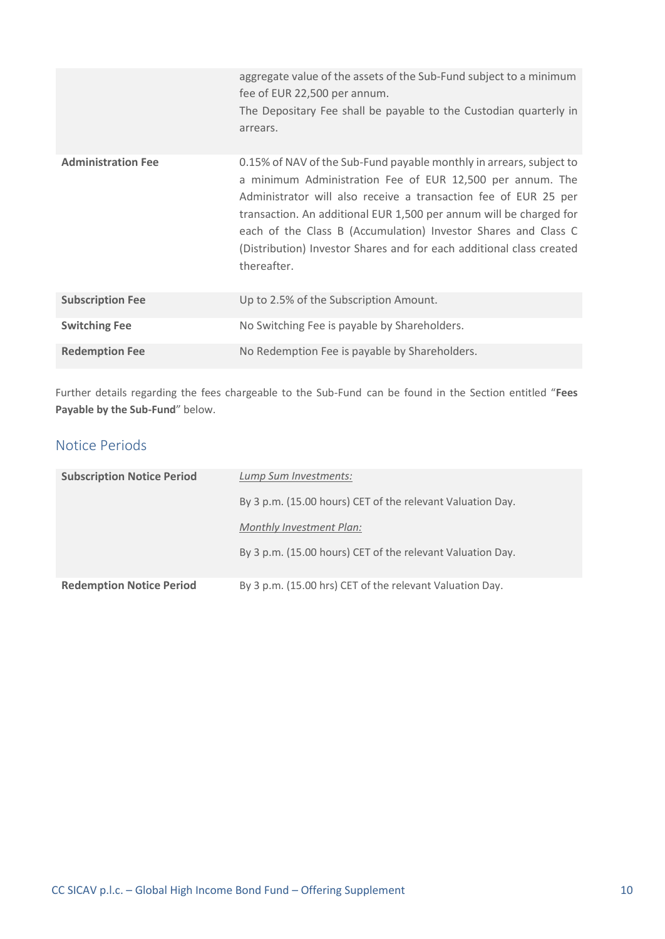|                           | aggregate value of the assets of the Sub-Fund subject to a minimum<br>fee of EUR 22,500 per annum.<br>The Depositary Fee shall be payable to the Custodian quarterly in<br>arrears.                                                                                                                                                                                                                                                |
|---------------------------|------------------------------------------------------------------------------------------------------------------------------------------------------------------------------------------------------------------------------------------------------------------------------------------------------------------------------------------------------------------------------------------------------------------------------------|
| <b>Administration Fee</b> | 0.15% of NAV of the Sub-Fund payable monthly in arrears, subject to<br>a minimum Administration Fee of EUR 12,500 per annum. The<br>Administrator will also receive a transaction fee of EUR 25 per<br>transaction. An additional EUR 1,500 per annum will be charged for<br>each of the Class B (Accumulation) Investor Shares and Class C<br>(Distribution) Investor Shares and for each additional class created<br>thereafter. |
| <b>Subscription Fee</b>   | Up to 2.5% of the Subscription Amount.                                                                                                                                                                                                                                                                                                                                                                                             |
| <b>Switching Fee</b>      | No Switching Fee is payable by Shareholders.                                                                                                                                                                                                                                                                                                                                                                                       |
| <b>Redemption Fee</b>     | No Redemption Fee is payable by Shareholders.                                                                                                                                                                                                                                                                                                                                                                                      |

Further details regarding the fees chargeable to the Sub-Fund can be found in the Section entitled "**Fees Payable by the Sub-Fund**" below.

### Notice Periods

| <b>Subscription Notice Period</b> | Lump Sum Investments:                                      |
|-----------------------------------|------------------------------------------------------------|
|                                   | By 3 p.m. (15.00 hours) CET of the relevant Valuation Day. |
|                                   | <b>Monthly Investment Plan:</b>                            |
|                                   | By 3 p.m. (15.00 hours) CET of the relevant Valuation Day. |
|                                   |                                                            |
| <b>Redemption Notice Period</b>   | By 3 p.m. (15.00 hrs) CET of the relevant Valuation Day.   |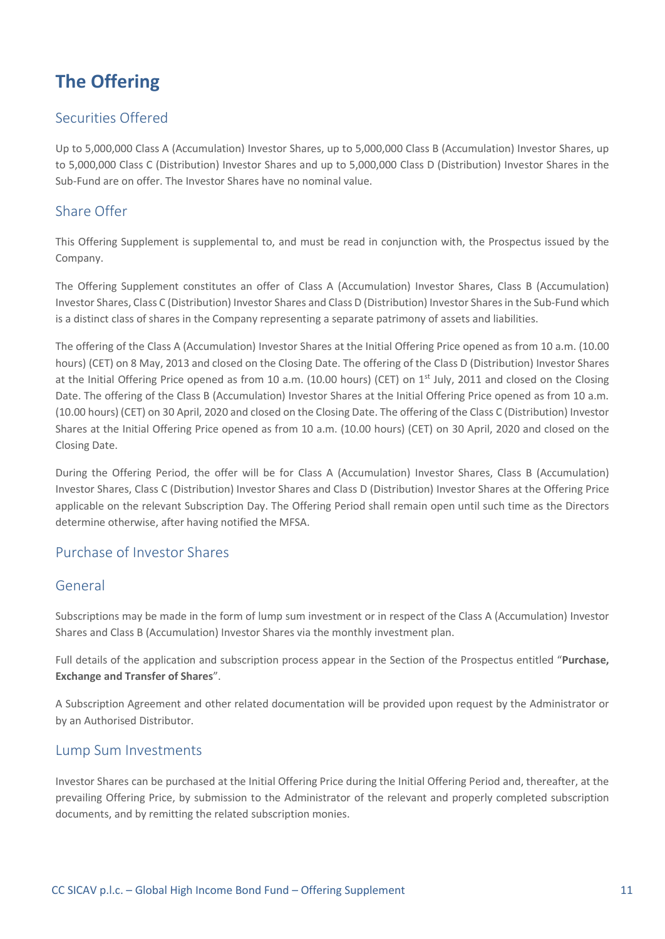# <span id="page-10-0"></span>**The Offering**

#### Securities Offered

Up to 5,000,000 Class A (Accumulation) Investor Shares, up to 5,000,000 Class B (Accumulation) Investor Shares, up to 5,000,000 Class C (Distribution) Investor Shares and up to 5,000,000 Class D (Distribution) Investor Shares in the Sub-Fund are on offer. The Investor Shares have no nominal value.

#### Share Offer

This Offering Supplement is supplemental to, and must be read in conjunction with, the Prospectus issued by the Company.

The Offering Supplement constitutes an offer of Class A (Accumulation) Investor Shares, Class B (Accumulation) Investor Shares, Class C (Distribution) Investor Shares and Class D (Distribution) Investor Shares in the Sub-Fund which is a distinct class of shares in the Company representing a separate patrimony of assets and liabilities.

The offering of the Class A (Accumulation) Investor Shares at the Initial Offering Price opened as from 10 a.m. (10.00 hours) (CET) on 8 May, 2013 and closed on the Closing Date. The offering of the Class D (Distribution) Investor Shares at the Initial Offering Price opened as from 10 a.m. (10.00 hours) (CET) on 1<sup>st</sup> July, 2011 and closed on the Closing Date. The offering of the Class B (Accumulation) Investor Shares at the Initial Offering Price opened as from 10 a.m. (10.00 hours) (CET) on 30 April, 2020 and closed on the Closing Date. The offering of the Class C (Distribution) Investor Shares at the Initial Offering Price opened as from 10 a.m. (10.00 hours) (CET) on 30 April, 2020 and closed on the Closing Date.

During the Offering Period, the offer will be for Class A (Accumulation) Investor Shares, Class B (Accumulation) Investor Shares, Class C (Distribution) Investor Shares and Class D (Distribution) Investor Shares at the Offering Price applicable on the relevant Subscription Day. The Offering Period shall remain open until such time as the Directors determine otherwise, after having notified the MFSA.

#### Purchase of Investor Shares

#### General

Subscriptions may be made in the form of lump sum investment or in respect of the Class A (Accumulation) Investor Shares and Class B (Accumulation) Investor Shares via the monthly investment plan.

Full details of the application and subscription process appear in the Section of the Prospectus entitled "**Purchase, Exchange and Transfer of Shares**".

A Subscription Agreement and other related documentation will be provided upon request by the Administrator or by an Authorised Distributor.

#### Lump Sum Investments

Investor Shares can be purchased at the Initial Offering Price during the Initial Offering Period and, thereafter, at the prevailing Offering Price, by submission to the Administrator of the relevant and properly completed subscription documents, and by remitting the related subscription monies.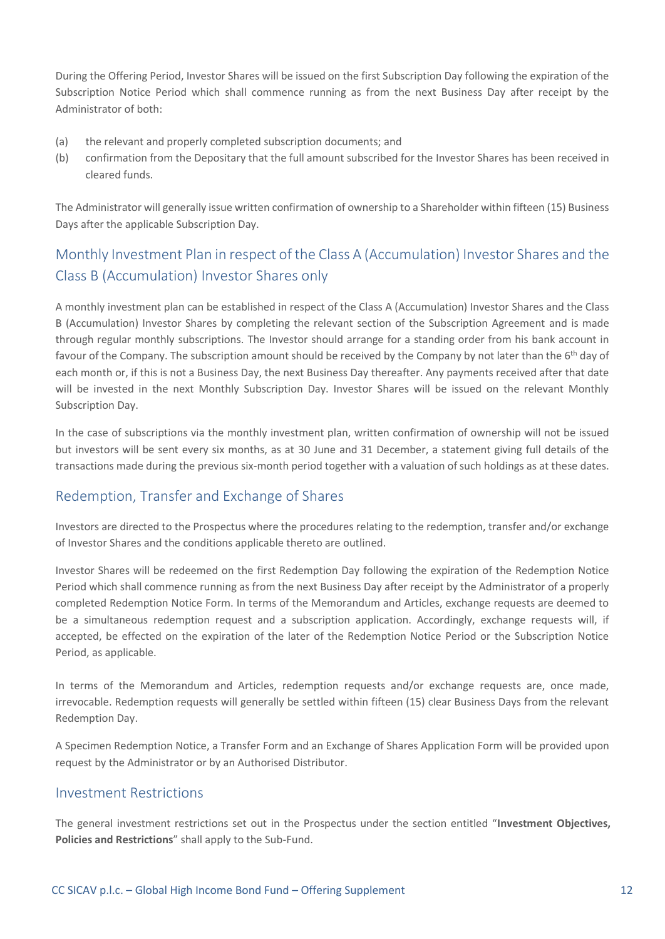During the Offering Period, Investor Shares will be issued on the first Subscription Day following the expiration of the Subscription Notice Period which shall commence running as from the next Business Day after receipt by the Administrator of both:

- (a) the relevant and properly completed subscription documents; and
- (b) confirmation from the Depositary that the full amount subscribed for the Investor Shares has been received in cleared funds.

The Administrator will generally issue written confirmation of ownership to a Shareholder within fifteen (15) Business Days after the applicable Subscription Day.

### Monthly Investment Plan in respect of the Class A (Accumulation) Investor Shares and the Class B (Accumulation) Investor Shares only

A monthly investment plan can be established in respect of the Class A (Accumulation) Investor Shares and the Class B (Accumulation) Investor Shares by completing the relevant section of the Subscription Agreement and is made through regular monthly subscriptions. The Investor should arrange for a standing order from his bank account in favour of the Company. The subscription amount should be received by the Company by not later than the 6<sup>th</sup> day of each month or, if this is not a Business Day, the next Business Day thereafter. Any payments received after that date will be invested in the next Monthly Subscription Day. Investor Shares will be issued on the relevant Monthly Subscription Day.

In the case of subscriptions via the monthly investment plan, written confirmation of ownership will not be issued but investors will be sent every six months, as at 30 June and 31 December, a statement giving full details of the transactions made during the previous six-month period together with a valuation of such holdings as at these dates.

#### Redemption, Transfer and Exchange of Shares

Investors are directed to the Prospectus where the procedures relating to the redemption, transfer and/or exchange of Investor Shares and the conditions applicable thereto are outlined.

Investor Shares will be redeemed on the first Redemption Day following the expiration of the Redemption Notice Period which shall commence running as from the next Business Day after receipt by the Administrator of a properly completed Redemption Notice Form. In terms of the Memorandum and Articles, exchange requests are deemed to be a simultaneous redemption request and a subscription application. Accordingly, exchange requests will, if accepted, be effected on the expiration of the later of the Redemption Notice Period or the Subscription Notice Period, as applicable.

In terms of the Memorandum and Articles, redemption requests and/or exchange requests are, once made, irrevocable. Redemption requests will generally be settled within fifteen (15) clear Business Days from the relevant Redemption Day.

A Specimen Redemption Notice, a Transfer Form and an Exchange of Shares Application Form will be provided upon request by the Administrator or by an Authorised Distributor.

#### Investment Restrictions

The general investment restrictions set out in the Prospectus under the section entitled "**Investment Objectives, Policies and Restrictions**" shall apply to the Sub-Fund.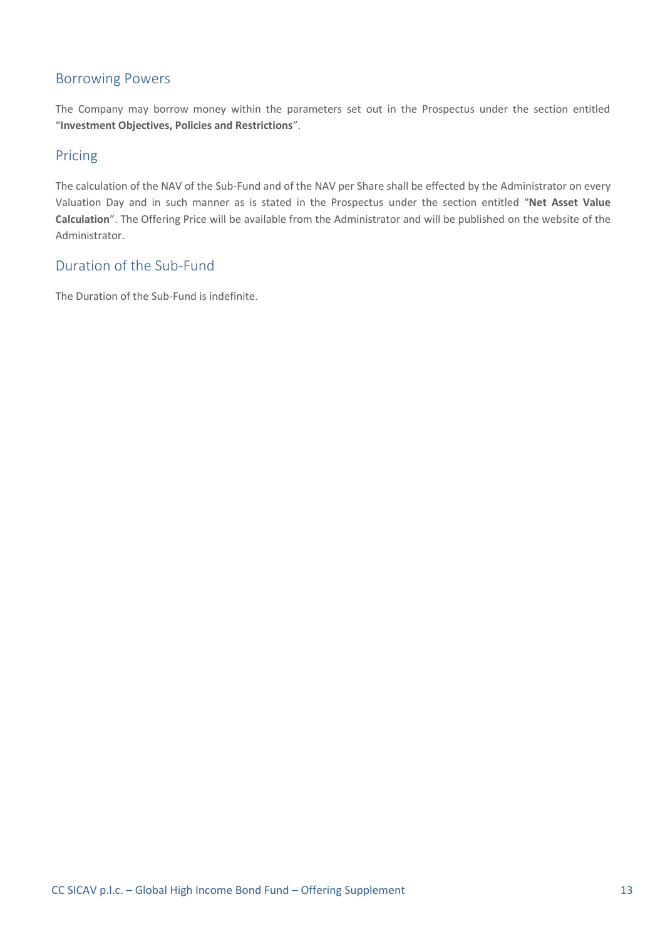#### Borrowing Powers

The Company may borrow money within the parameters set out in the Prospectus under the section entitled "**Investment Objectives, Policies and Restrictions**".

#### Pricing

The calculation of the NAV of the Sub-Fund and of the NAV per Share shall be effected by the Administrator on every Valuation Day and in such manner as is stated in the Prospectus under the section entitled "**Net Asset Value Calculation**". The Offering Price will be available from the Administrator and will be published on the website of the Administrator.

#### Duration of the Sub-Fund

The Duration of the Sub-Fund is indefinite.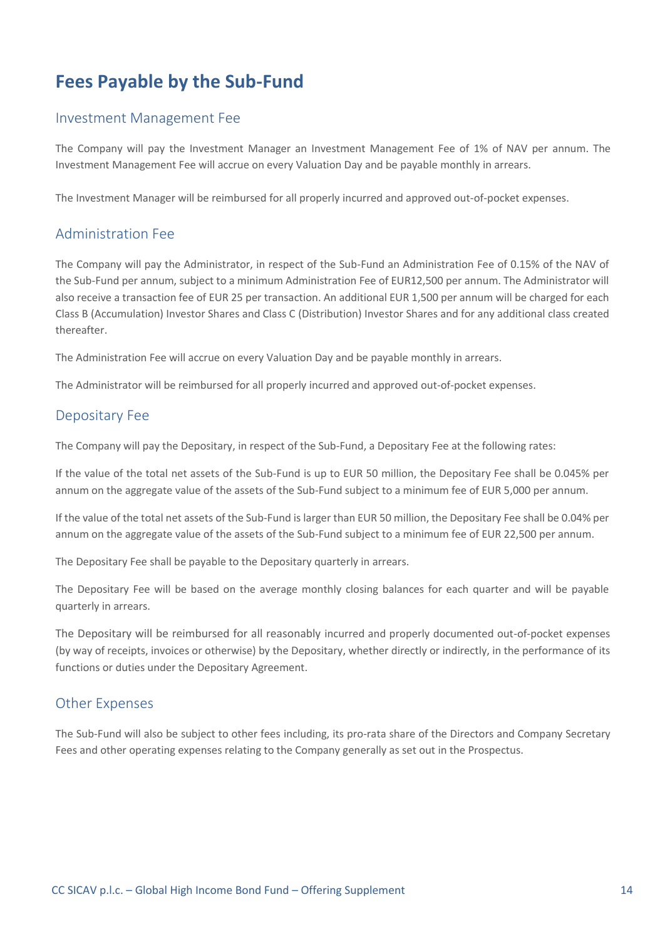## <span id="page-13-0"></span>**Fees Payable by the Sub-Fund**

#### Investment Management Fee

The Company will pay the Investment Manager an Investment Management Fee of 1% of NAV per annum. The Investment Management Fee will accrue on every Valuation Day and be payable monthly in arrears.

The Investment Manager will be reimbursed for all properly incurred and approved out-of-pocket expenses.

#### Administration Fee

The Company will pay the Administrator, in respect of the Sub-Fund an Administration Fee of 0.15% of the NAV of the Sub-Fund per annum, subject to a minimum Administration Fee of EUR12,500 per annum. The Administrator will also receive a transaction fee of EUR 25 per transaction. An additional EUR 1,500 per annum will be charged for each Class B (Accumulation) Investor Shares and Class C (Distribution) Investor Shares and for any additional class created thereafter.

The Administration Fee will accrue on every Valuation Day and be payable monthly in arrears.

The Administrator will be reimbursed for all properly incurred and approved out-of-pocket expenses.

#### Depositary Fee

The Company will pay the Depositary, in respect of the Sub-Fund, a Depositary Fee at the following rates:

If the value of the total net assets of the Sub-Fund is up to EUR 50 million, the Depositary Fee shall be 0.045% per annum on the aggregate value of the assets of the Sub-Fund subject to a minimum fee of EUR 5,000 per annum.

If the value of the total net assets of the Sub-Fund is larger than EUR 50 million, the Depositary Fee shall be 0.04% per annum on the aggregate value of the assets of the Sub-Fund subject to a minimum fee of EUR 22,500 per annum.

The Depositary Fee shall be payable to the Depositary quarterly in arrears.

The Depositary Fee will be based on the average monthly closing balances for each quarter and will be payable quarterly in arrears.

The Depositary will be reimbursed for all reasonably incurred and properly documented out-of-pocket expenses (by way of receipts, invoices or otherwise) by the Depositary, whether directly or indirectly, in the performance of its functions or duties under the Depositary Agreement.

#### Other Expenses

The Sub-Fund will also be subject to other fees including, its pro-rata share of the Directors and Company Secretary Fees and other operating expenses relating to the Company generally as set out in the Prospectus.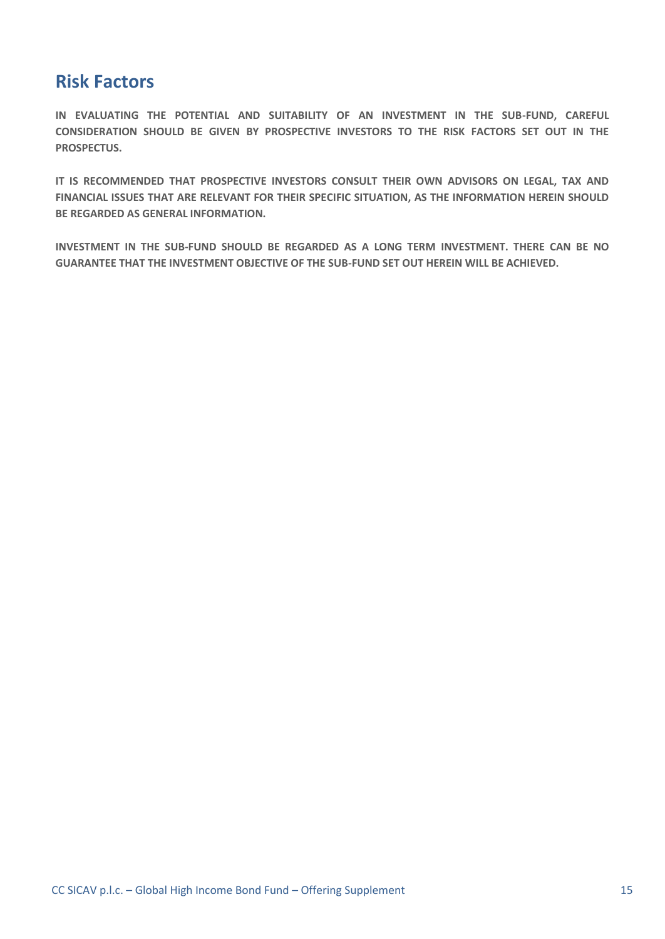### <span id="page-14-0"></span>**Risk Factors**

**IN EVALUATING THE POTENTIAL AND SUITABILITY OF AN INVESTMENT IN THE SUB-FUND, CAREFUL CONSIDERATION SHOULD BE GIVEN BY PROSPECTIVE INVESTORS TO THE RISK FACTORS SET OUT IN THE PROSPECTUS.** 

**IT IS RECOMMENDED THAT PROSPECTIVE INVESTORS CONSULT THEIR OWN ADVISORS ON LEGAL, TAX AND FINANCIAL ISSUES THAT ARE RELEVANT FOR THEIR SPECIFIC SITUATION, AS THE INFORMATION HEREIN SHOULD BE REGARDED AS GENERAL INFORMATION.**

**INVESTMENT IN THE SUB-FUND SHOULD BE REGARDED AS A LONG TERM INVESTMENT. THERE CAN BE NO GUARANTEE THAT THE INVESTMENT OBJECTIVE OF THE SUB-FUND SET OUT HEREIN WILL BE ACHIEVED.**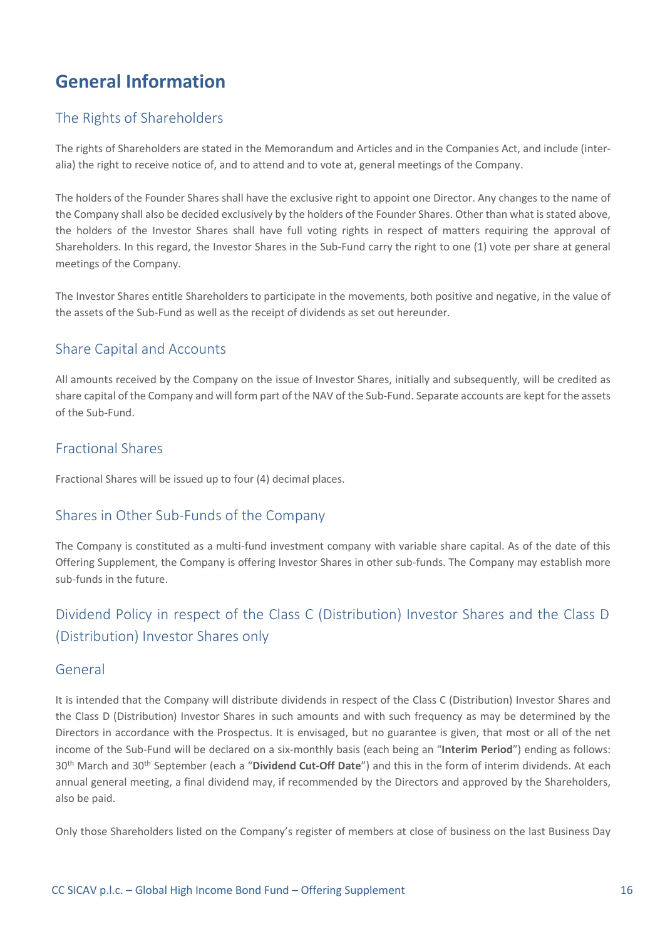# <span id="page-15-0"></span>**General Information**

#### The Rights of Shareholders

The rights of Shareholders are stated in the Memorandum and Articles and in the Companies Act, and include (interalia) the right to receive notice of, and to attend and to vote at, general meetings of the Company.

The holders of the Founder Shares shall have the exclusive right to appoint one Director. Any changes to the name of the Company shall also be decided exclusively by the holders of the Founder Shares. Other than what is stated above, the holders of the Investor Shares shall have full voting rights in respect of matters requiring the approval of Shareholders. In this regard, the Investor Shares in the Sub-Fund carry the right to one (1) vote per share at general meetings of the Company.

The Investor Shares entitle Shareholders to participate in the movements, both positive and negative, in the value of the assets of the Sub-Fund as well as the receipt of dividends as set out hereunder.

#### Share Capital and Accounts

All amounts received by the Company on the issue of Investor Shares, initially and subsequently, will be credited as share capital of the Company and will form part of the NAV of the Sub-Fund. Separate accounts are kept for the assets of the Sub-Fund.

#### Fractional Shares

Fractional Shares will be issued up to four (4) decimal places.

#### Shares in Other Sub-Funds of the Company

The Company is constituted as a multi-fund investment company with variable share capital. As of the date of this Offering Supplement, the Company is offering Investor Shares in other sub-funds. The Company may establish more sub-funds in the future.

### Dividend Policy in respect of the Class C (Distribution) Investor Shares and the Class D (Distribution) Investor Shares only

#### General

It is intended that the Company will distribute dividends in respect of the Class C (Distribution) Investor Shares and the Class D (Distribution) Investor Shares in such amounts and with such frequency as may be determined by the Directors in accordance with the Prospectus. It is envisaged, but no guarantee is given, that most or all of the net income of the Sub-Fund will be declared on a six-monthly basis (each being an "**Interim Period**") ending as follows: 30 th March and 30th September (each a "**Dividend Cut-Off Date**") and this in the form of interim dividends. At each annual general meeting, a final dividend may, if recommended by the Directors and approved by the Shareholders, also be paid.

Only those Shareholders listed on the Company's register of members at close of business on the last Business Day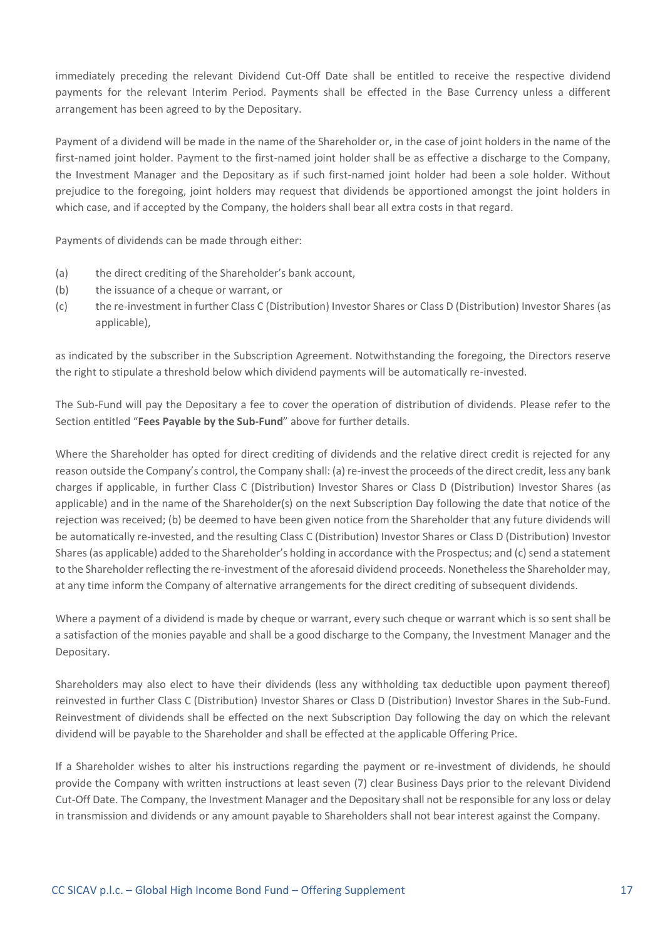immediately preceding the relevant Dividend Cut-Off Date shall be entitled to receive the respective dividend payments for the relevant Interim Period. Payments shall be effected in the Base Currency unless a different arrangement has been agreed to by the Depositary.

Payment of a dividend will be made in the name of the Shareholder or, in the case of joint holders in the name of the first-named joint holder. Payment to the first-named joint holder shall be as effective a discharge to the Company, the Investment Manager and the Depositary as if such first-named joint holder had been a sole holder. Without prejudice to the foregoing, joint holders may request that dividends be apportioned amongst the joint holders in which case, and if accepted by the Company, the holders shall bear all extra costs in that regard.

Payments of dividends can be made through either:

- (a) the direct crediting of the Shareholder's bank account,
- (b) the issuance of a cheque or warrant, or
- (c) the re-investment in further Class C (Distribution) Investor Shares or Class D (Distribution) Investor Shares(as applicable),

as indicated by the subscriber in the Subscription Agreement. Notwithstanding the foregoing, the Directors reserve the right to stipulate a threshold below which dividend payments will be automatically re-invested.

The Sub-Fund will pay the Depositary a fee to cover the operation of distribution of dividends. Please refer to the Section entitled "**Fees Payable by the Sub-Fund**" above for further details.

Where the Shareholder has opted for direct crediting of dividends and the relative direct credit is rejected for any reason outside the Company's control, the Company shall: (a) re-invest the proceeds of the direct credit, less any bank charges if applicable, in further Class C (Distribution) Investor Shares or Class D (Distribution) Investor Shares (as applicable) and in the name of the Shareholder(s) on the next Subscription Day following the date that notice of the rejection was received; (b) be deemed to have been given notice from the Shareholder that any future dividends will be automatically re-invested, and the resulting Class C (Distribution) Investor Shares or Class D (Distribution) Investor Shares (as applicable) added to the Shareholder's holding in accordance with the Prospectus; and (c) send a statement to the Shareholder reflecting the re-investment of the aforesaid dividend proceeds. Nonetheless the Shareholder may, at any time inform the Company of alternative arrangements for the direct crediting of subsequent dividends.

Where a payment of a dividend is made by cheque or warrant, every such cheque or warrant which is so sent shall be a satisfaction of the monies payable and shall be a good discharge to the Company, the Investment Manager and the Depositary.

Shareholders may also elect to have their dividends (less any withholding tax deductible upon payment thereof) reinvested in further Class C (Distribution) Investor Shares or Class D (Distribution) Investor Shares in the Sub-Fund. Reinvestment of dividends shall be effected on the next Subscription Day following the day on which the relevant dividend will be payable to the Shareholder and shall be effected at the applicable Offering Price.

If a Shareholder wishes to alter his instructions regarding the payment or re-investment of dividends, he should provide the Company with written instructions at least seven (7) clear Business Days prior to the relevant Dividend Cut-Off Date. The Company, the Investment Manager and the Depositary shall not be responsible for any loss or delay in transmission and dividends or any amount payable to Shareholders shall not bear interest against the Company.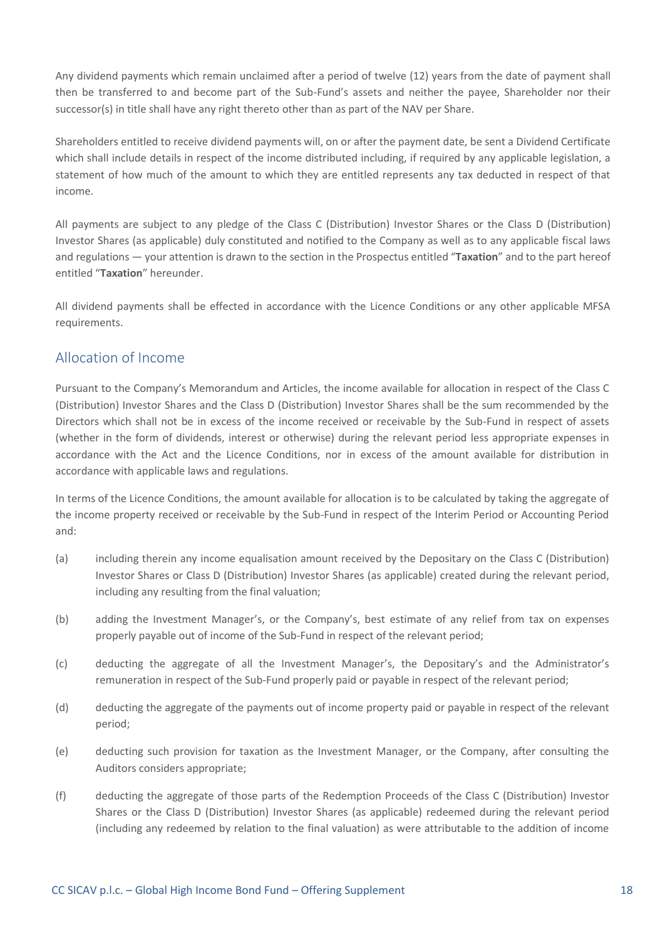Any dividend payments which remain unclaimed after a period of twelve (12) years from the date of payment shall then be transferred to and become part of the Sub-Fund's assets and neither the payee, Shareholder nor their successor(s) in title shall have any right thereto other than as part of the NAV per Share.

Shareholders entitled to receive dividend payments will, on or after the payment date, be sent a Dividend Certificate which shall include details in respect of the income distributed including, if required by any applicable legislation, a statement of how much of the amount to which they are entitled represents any tax deducted in respect of that income.

All payments are subject to any pledge of the Class C (Distribution) Investor Shares or the Class D (Distribution) Investor Shares (as applicable) duly constituted and notified to the Company as well as to any applicable fiscal laws and regulations — your attention is drawn to the section in the Prospectus entitled "**Taxation**" and to the part hereof entitled "**Taxation**" hereunder.

All dividend payments shall be effected in accordance with the Licence Conditions or any other applicable MFSA requirements.

#### Allocation of Income

Pursuant to the Company's Memorandum and Articles, the income available for allocation in respect of the Class C (Distribution) Investor Shares and the Class D (Distribution) Investor Shares shall be the sum recommended by the Directors which shall not be in excess of the income received or receivable by the Sub-Fund in respect of assets (whether in the form of dividends, interest or otherwise) during the relevant period less appropriate expenses in accordance with the Act and the Licence Conditions, nor in excess of the amount available for distribution in accordance with applicable laws and regulations.

In terms of the Licence Conditions, the amount available for allocation is to be calculated by taking the aggregate of the income property received or receivable by the Sub-Fund in respect of the Interim Period or Accounting Period and:

- (a) including therein any income equalisation amount received by the Depositary on the Class C (Distribution) Investor Shares or Class D (Distribution) Investor Shares (as applicable) created during the relevant period, including any resulting from the final valuation;
- (b) adding the Investment Manager's, or the Company's, best estimate of any relief from tax on expenses properly payable out of income of the Sub-Fund in respect of the relevant period;
- (c) deducting the aggregate of all the Investment Manager's, the Depositary's and the Administrator's remuneration in respect of the Sub-Fund properly paid or payable in respect of the relevant period;
- (d) deducting the aggregate of the payments out of income property paid or payable in respect of the relevant period;
- (e) deducting such provision for taxation as the Investment Manager, or the Company, after consulting the Auditors considers appropriate;
- (f) deducting the aggregate of those parts of the Redemption Proceeds of the Class C (Distribution) Investor Shares or the Class D (Distribution) Investor Shares (as applicable) redeemed during the relevant period (including any redeemed by relation to the final valuation) as were attributable to the addition of income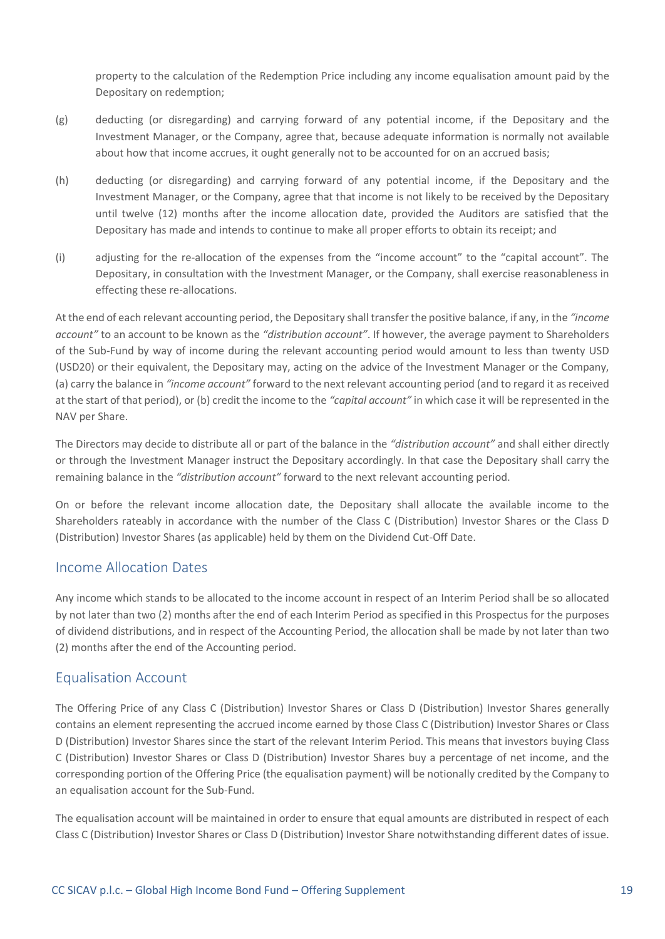property to the calculation of the Redemption Price including any income equalisation amount paid by the Depositary on redemption;

- (g) deducting (or disregarding) and carrying forward of any potential income, if the Depositary and the Investment Manager, or the Company, agree that, because adequate information is normally not available about how that income accrues, it ought generally not to be accounted for on an accrued basis;
- (h) deducting (or disregarding) and carrying forward of any potential income, if the Depositary and the Investment Manager, or the Company, agree that that income is not likely to be received by the Depositary until twelve (12) months after the income allocation date, provided the Auditors are satisfied that the Depositary has made and intends to continue to make all proper efforts to obtain its receipt; and
- (i) adjusting for the re-allocation of the expenses from the "income account" to the "capital account". The Depositary, in consultation with the Investment Manager, or the Company, shall exercise reasonableness in effecting these re-allocations.

At the end of each relevant accounting period, the Depositary shall transfer the positive balance, if any, in the *"income account"* to an account to be known as the *"distribution account"*. If however, the average payment to Shareholders of the Sub-Fund by way of income during the relevant accounting period would amount to less than twenty USD (USD20) or their equivalent, the Depositary may, acting on the advice of the Investment Manager or the Company, (a) carry the balance in *"income account"* forward to the next relevant accounting period (and to regard it as received at the start of that period), or (b) credit the income to the *"capital account"* in which case it will be represented in the NAV per Share.

The Directors may decide to distribute all or part of the balance in the *"distribution account"* and shall either directly or through the Investment Manager instruct the Depositary accordingly. In that case the Depositary shall carry the remaining balance in the *"distribution account"* forward to the next relevant accounting period.

On or before the relevant income allocation date, the Depositary shall allocate the available income to the Shareholders rateably in accordance with the number of the Class C (Distribution) Investor Shares or the Class D (Distribution) Investor Shares (as applicable) held by them on the Dividend Cut-Off Date.

#### Income Allocation Dates

Any income which stands to be allocated to the income account in respect of an Interim Period shall be so allocated by not later than two (2) months after the end of each Interim Period as specified in this Prospectus for the purposes of dividend distributions, and in respect of the Accounting Period, the allocation shall be made by not later than two (2) months after the end of the Accounting period.

#### Equalisation Account

The Offering Price of any Class C (Distribution) Investor Shares or Class D (Distribution) Investor Shares generally contains an element representing the accrued income earned by those Class C (Distribution) Investor Shares or Class D (Distribution) Investor Shares since the start of the relevant Interim Period. This means that investors buying Class C (Distribution) Investor Shares or Class D (Distribution) Investor Shares buy a percentage of net income, and the corresponding portion of the Offering Price (the equalisation payment) will be notionally credited by the Company to an equalisation account for the Sub-Fund.

The equalisation account will be maintained in order to ensure that equal amounts are distributed in respect of each Class C (Distribution) Investor Shares or Class D (Distribution) Investor Share notwithstanding different dates of issue.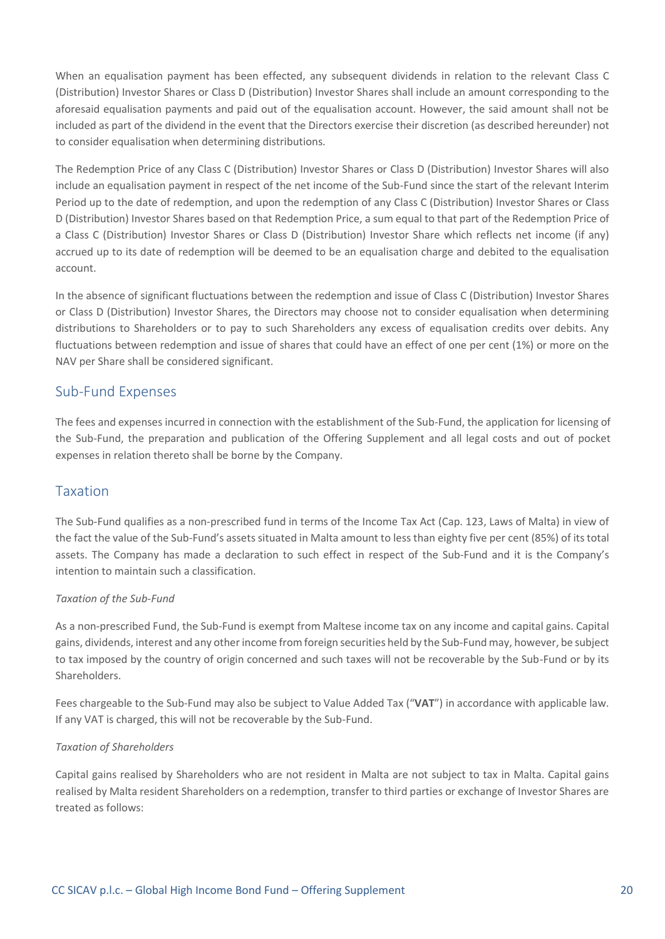When an equalisation payment has been effected, any subsequent dividends in relation to the relevant Class C (Distribution) Investor Shares or Class D (Distribution) Investor Shares shall include an amount corresponding to the aforesaid equalisation payments and paid out of the equalisation account. However, the said amount shall not be included as part of the dividend in the event that the Directors exercise their discretion (as described hereunder) not to consider equalisation when determining distributions.

The Redemption Price of any Class C (Distribution) Investor Shares or Class D (Distribution) Investor Shares will also include an equalisation payment in respect of the net income of the Sub-Fund since the start of the relevant Interim Period up to the date of redemption, and upon the redemption of any Class C (Distribution) Investor Shares or Class D (Distribution) Investor Shares based on that Redemption Price, a sum equal to that part of the Redemption Price of a Class C (Distribution) Investor Shares or Class D (Distribution) Investor Share which reflects net income (if any) accrued up to its date of redemption will be deemed to be an equalisation charge and debited to the equalisation account.

In the absence of significant fluctuations between the redemption and issue of Class C (Distribution) Investor Shares or Class D (Distribution) Investor Shares, the Directors may choose not to consider equalisation when determining distributions to Shareholders or to pay to such Shareholders any excess of equalisation credits over debits. Any fluctuations between redemption and issue of shares that could have an effect of one per cent (1%) or more on the NAV per Share shall be considered significant.

#### Sub-Fund Expenses

The fees and expenses incurred in connection with the establishment of the Sub-Fund, the application for licensing of the Sub-Fund, the preparation and publication of the Offering Supplement and all legal costs and out of pocket expenses in relation thereto shall be borne by the Company.

#### Taxation

The Sub-Fund qualifies as a non-prescribed fund in terms of the Income Tax Act (Cap. 123, Laws of Malta) in view of the fact the value of the Sub-Fund's assets situated in Malta amount to less than eighty five per cent (85%) of its total assets. The Company has made a declaration to such effect in respect of the Sub-Fund and it is the Company's intention to maintain such a classification.

#### *Taxation of the Sub-Fund*

As a non-prescribed Fund, the Sub-Fund is exempt from Maltese income tax on any income and capital gains. Capital gains, dividends, interest and any other income from foreign securities held by the Sub-Fund may, however, be subject to tax imposed by the country of origin concerned and such taxes will not be recoverable by the Sub-Fund or by its Shareholders.

Fees chargeable to the Sub-Fund may also be subject to Value Added Tax ("**VAT**") in accordance with applicable law. If any VAT is charged, this will not be recoverable by the Sub-Fund.

#### *Taxation of Shareholders*

Capital gains realised by Shareholders who are not resident in Malta are not subject to tax in Malta. Capital gains realised by Malta resident Shareholders on a redemption, transfer to third parties or exchange of Investor Shares are treated as follows: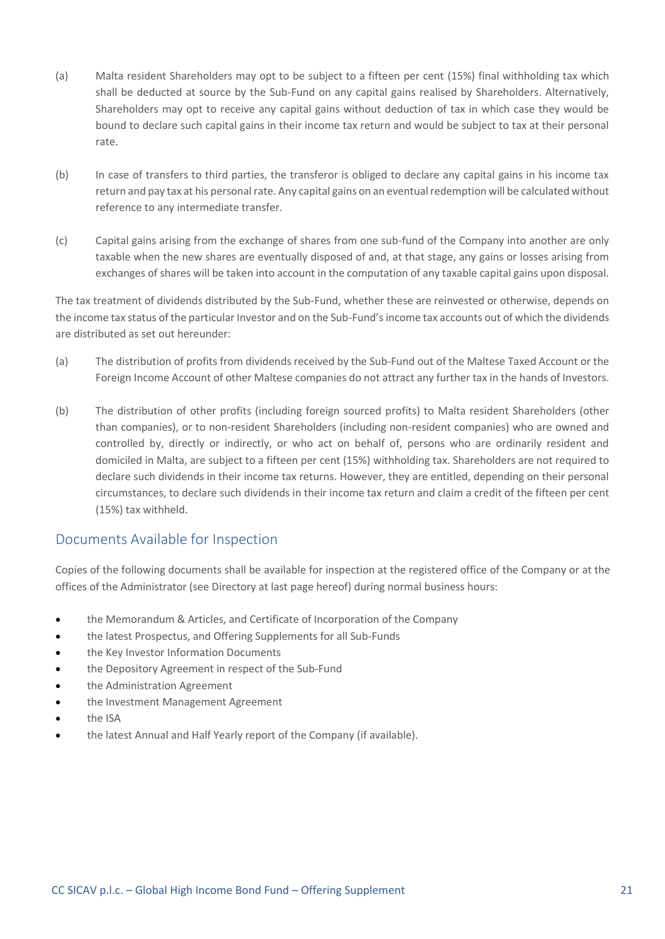- (a) Malta resident Shareholders may opt to be subject to a fifteen per cent (15%) final withholding tax which shall be deducted at source by the Sub-Fund on any capital gains realised by Shareholders. Alternatively, Shareholders may opt to receive any capital gains without deduction of tax in which case they would be bound to declare such capital gains in their income tax return and would be subject to tax at their personal rate.
- (b) In case of transfers to third parties, the transferor is obliged to declare any capital gains in his income tax return and pay tax at his personal rate. Any capital gains on an eventual redemption will be calculated without reference to any intermediate transfer.
- (c) Capital gains arising from the exchange of shares from one sub-fund of the Company into another are only taxable when the new shares are eventually disposed of and, at that stage, any gains or losses arising from exchanges of shares will be taken into account in the computation of any taxable capital gains upon disposal.

The tax treatment of dividends distributed by the Sub-Fund, whether these are reinvested or otherwise, depends on the income tax status of the particular Investor and on the Sub-Fund's income tax accounts out of which the dividends are distributed as set out hereunder:

- (a) The distribution of profits from dividends received by the Sub-Fund out of the Maltese Taxed Account or the Foreign Income Account of other Maltese companies do not attract any further tax in the hands of Investors.
- (b) The distribution of other profits (including foreign sourced profits) to Malta resident Shareholders (other than companies), or to non-resident Shareholders (including non-resident companies) who are owned and controlled by, directly or indirectly, or who act on behalf of, persons who are ordinarily resident and domiciled in Malta, are subject to a fifteen per cent (15%) withholding tax. Shareholders are not required to declare such dividends in their income tax returns. However, they are entitled, depending on their personal circumstances, to declare such dividends in their income tax return and claim a credit of the fifteen per cent (15%) tax withheld.

#### Documents Available for Inspection

Copies of the following documents shall be available for inspection at the registered office of the Company or at the offices of the Administrator (see Directory at last page hereof) during normal business hours:

- the Memorandum & Articles, and Certificate of Incorporation of the Company
- the latest Prospectus, and Offering Supplements for all Sub-Funds
- the Key Investor Information Documents
- the Depository Agreement in respect of the Sub-Fund
- the Administration Agreement
- the Investment Management Agreement
- the ISA
- the latest Annual and Half Yearly report of the Company (if available).